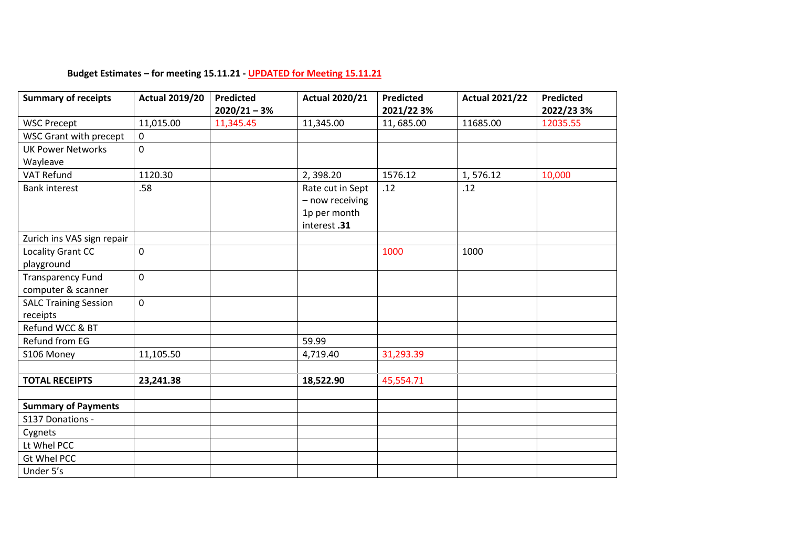## **Budget Estimates – for meeting 15.11.21 - UPDATED for Meeting 15.11.21**

| <b>Summary of receipts</b>   | <b>Actual 2019/20</b> | <b>Predicted</b> | <b>Actual 2020/21</b> | <b>Predicted</b> | <b>Actual 2021/22</b> | Predicted  |
|------------------------------|-----------------------|------------------|-----------------------|------------------|-----------------------|------------|
|                              |                       | $2020/21 - 3%$   |                       | 2021/22 3%       |                       | 2022/23 3% |
| <b>WSC Precept</b>           | 11,015.00             | 11,345.45        | 11,345.00             | 11,685.00        | 11685.00              | 12035.55   |
| WSC Grant with precept       | $\mathbf 0$           |                  |                       |                  |                       |            |
| <b>UK Power Networks</b>     | $\mathbf 0$           |                  |                       |                  |                       |            |
| Wayleave                     |                       |                  |                       |                  |                       |            |
| <b>VAT Refund</b>            | 1120.30               |                  | 2,398.20              | 1576.12          | 1,576.12              | 10,000     |
| <b>Bank interest</b>         | .58                   |                  | Rate cut in Sept      | .12              | .12                   |            |
|                              |                       |                  | - now receiving       |                  |                       |            |
|                              |                       |                  | 1p per month          |                  |                       |            |
|                              |                       |                  | interest.31           |                  |                       |            |
| Zurich ins VAS sign repair   |                       |                  |                       |                  |                       |            |
| Locality Grant CC            | $\mathbf 0$           |                  |                       | 1000             | 1000                  |            |
| playground                   |                       |                  |                       |                  |                       |            |
| <b>Transparency Fund</b>     | $\mathbf 0$           |                  |                       |                  |                       |            |
| computer & scanner           |                       |                  |                       |                  |                       |            |
| <b>SALC Training Session</b> | $\mathbf 0$           |                  |                       |                  |                       |            |
| receipts                     |                       |                  |                       |                  |                       |            |
| Refund WCC & BT              |                       |                  |                       |                  |                       |            |
| Refund from EG               |                       |                  | 59.99                 |                  |                       |            |
| S106 Money                   | 11,105.50             |                  | 4,719.40              | 31,293.39        |                       |            |
|                              |                       |                  |                       |                  |                       |            |
| <b>TOTAL RECEIPTS</b>        | 23,241.38             |                  | 18,522.90             | 45,554.71        |                       |            |
|                              |                       |                  |                       |                  |                       |            |
| <b>Summary of Payments</b>   |                       |                  |                       |                  |                       |            |
| S137 Donations -             |                       |                  |                       |                  |                       |            |
| Cygnets                      |                       |                  |                       |                  |                       |            |
| Lt Whel PCC                  |                       |                  |                       |                  |                       |            |
| Gt Whel PCC                  |                       |                  |                       |                  |                       |            |
| Under 5's                    |                       |                  |                       |                  |                       |            |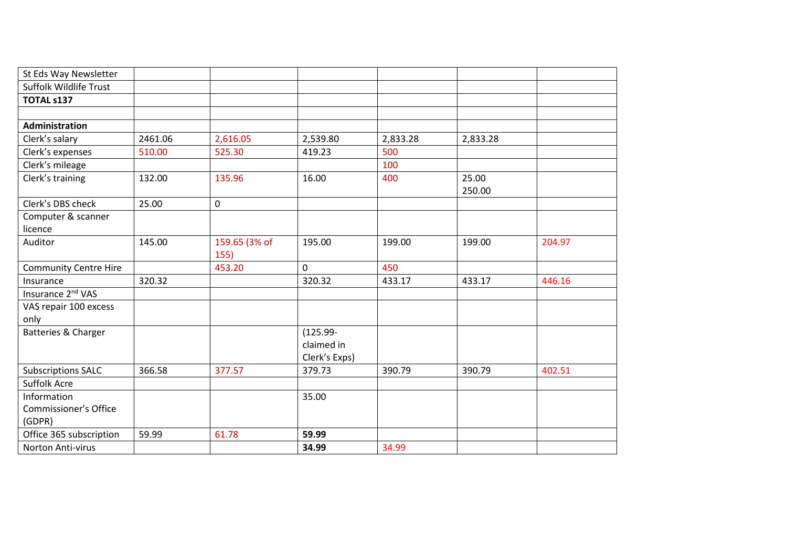| St Eds Way Newsletter         |         |               |               |          |          |        |
|-------------------------------|---------|---------------|---------------|----------|----------|--------|
| Suffolk Wildlife Trust        |         |               |               |          |          |        |
| <b>TOTAL s137</b>             |         |               |               |          |          |        |
|                               |         |               |               |          |          |        |
| Administration                |         |               |               |          |          |        |
| Clerk's salary                | 2461.06 | 2,616.05      | 2,539.80      | 2,833.28 | 2,833.28 |        |
| Clerk's expenses              | 510.00  | 525.30        | 419.23        | 500      |          |        |
| Clerk's mileage               |         |               |               | 100      |          |        |
| Clerk's training              | 132.00  | 135.96        | 16.00         | 400      | 25.00    |        |
|                               |         |               |               |          | 250.00   |        |
| Clerk's DBS check             | 25.00   | $\mathsf 0$   |               |          |          |        |
| Computer & scanner            |         |               |               |          |          |        |
| licence                       |         |               |               |          |          |        |
| Auditor                       | 145.00  | 159.65 (3% of | 195.00        | 199.00   | 199.00   | 204.97 |
|                               |         | 155)          |               |          |          |        |
| <b>Community Centre Hire</b>  |         | 453.20        | $\mathbf 0$   | 450      |          |        |
| Insurance                     | 320.32  |               | 320.32        | 433.17   | 433.17   | 446.16 |
| Insurance 2 <sup>nd</sup> VAS |         |               |               |          |          |        |
| VAS repair 100 excess         |         |               |               |          |          |        |
| only                          |         |               |               |          |          |        |
| Batteries & Charger           |         |               | $(125.99 -$   |          |          |        |
|                               |         |               | claimed in    |          |          |        |
|                               |         |               | Clerk's Exps) |          |          |        |
| <b>Subscriptions SALC</b>     | 366.58  | 377.57        | 379.73        | 390.79   | 390.79   | 402.51 |
| Suffolk Acre                  |         |               |               |          |          |        |
| Information                   |         |               | 35.00         |          |          |        |
| Commissioner's Office         |         |               |               |          |          |        |
| (GDPR)                        |         |               |               |          |          |        |
| Office 365 subscription       | 59.99   | 61.78         | 59.99         |          |          |        |
| Norton Anti-virus             |         |               | 34.99         | 34.99    |          |        |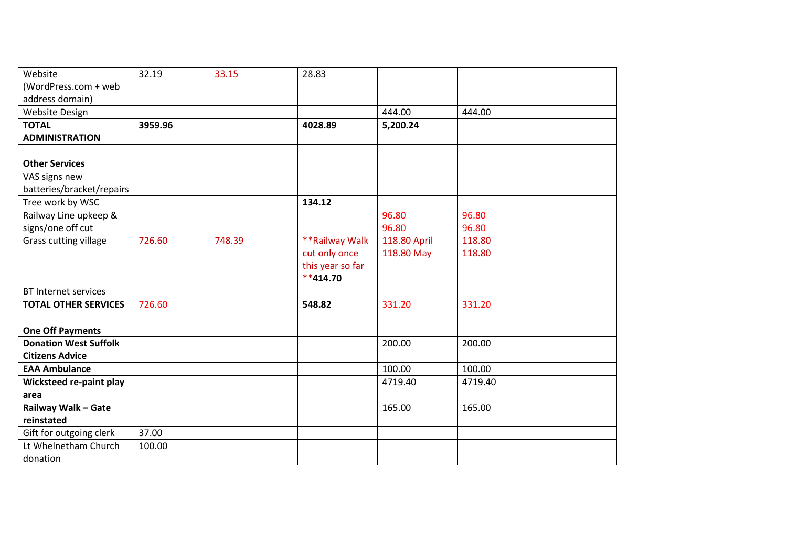| Website                      | 32.19   | 33.15  | 28.83            |              |         |  |
|------------------------------|---------|--------|------------------|--------------|---------|--|
| (WordPress.com + web         |         |        |                  |              |         |  |
| address domain)              |         |        |                  |              |         |  |
| Website Design               |         |        |                  | 444.00       | 444.00  |  |
| <b>TOTAL</b>                 | 3959.96 |        | 4028.89          | 5,200.24     |         |  |
| <b>ADMINISTRATION</b>        |         |        |                  |              |         |  |
|                              |         |        |                  |              |         |  |
| <b>Other Services</b>        |         |        |                  |              |         |  |
| VAS signs new                |         |        |                  |              |         |  |
| batteries/bracket/repairs    |         |        |                  |              |         |  |
| Tree work by WSC             |         |        | 134.12           |              |         |  |
| Railway Line upkeep &        |         |        |                  | 96.80        | 96.80   |  |
| signs/one off cut            |         |        |                  | 96.80        | 96.80   |  |
| <b>Grass cutting village</b> | 726.60  | 748.39 | **Railway Walk   | 118.80 April | 118.80  |  |
|                              |         |        | cut only once    | 118.80 May   | 118.80  |  |
|                              |         |        | this year so far |              |         |  |
|                              |         |        | $**414.70$       |              |         |  |
| <b>BT Internet services</b>  |         |        |                  |              |         |  |
| <b>TOTAL OTHER SERVICES</b>  | 726.60  |        | 548.82           | 331.20       | 331.20  |  |
|                              |         |        |                  |              |         |  |
| <b>One Off Payments</b>      |         |        |                  |              |         |  |
| <b>Donation West Suffolk</b> |         |        |                  | 200.00       | 200.00  |  |
| <b>Citizens Advice</b>       |         |        |                  |              |         |  |
| <b>EAA Ambulance</b>         |         |        |                  | 100.00       | 100.00  |  |
| Wicksteed re-paint play      |         |        |                  | 4719.40      | 4719.40 |  |
| area                         |         |        |                  |              |         |  |
| Railway Walk - Gate          |         |        |                  | 165.00       | 165.00  |  |
| reinstated                   |         |        |                  |              |         |  |
| Gift for outgoing clerk      | 37.00   |        |                  |              |         |  |
| Lt Whelnetham Church         | 100.00  |        |                  |              |         |  |
| donation                     |         |        |                  |              |         |  |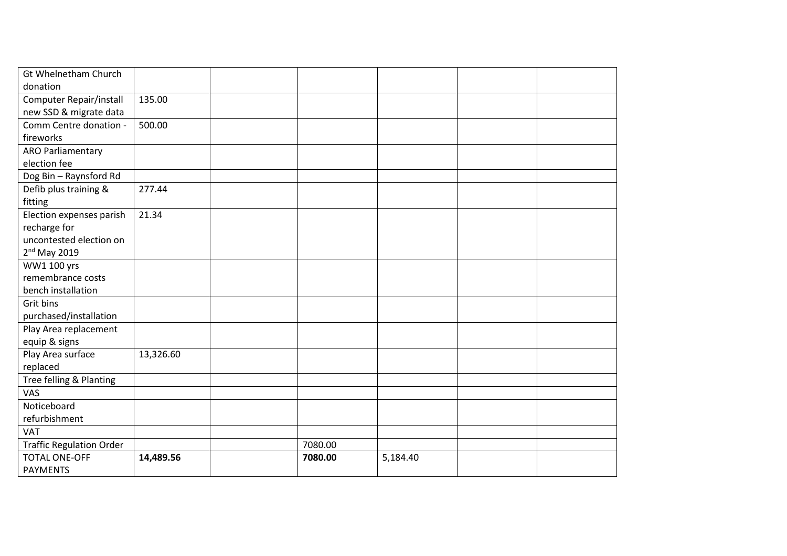| Gt Whelnetham Church            |           |         |          |  |
|---------------------------------|-----------|---------|----------|--|
| donation                        |           |         |          |  |
| Computer Repair/install         | 135.00    |         |          |  |
| new SSD & migrate data          |           |         |          |  |
| Comm Centre donation -          | 500.00    |         |          |  |
| fireworks                       |           |         |          |  |
| <b>ARO Parliamentary</b>        |           |         |          |  |
| election fee                    |           |         |          |  |
| Dog Bin - Raynsford Rd          |           |         |          |  |
| Defib plus training &           | 277.44    |         |          |  |
| fitting                         |           |         |          |  |
| Election expenses parish        | 21.34     |         |          |  |
| recharge for                    |           |         |          |  |
| uncontested election on         |           |         |          |  |
| 2 <sup>nd</sup> May 2019        |           |         |          |  |
| WW1 100 yrs                     |           |         |          |  |
| remembrance costs               |           |         |          |  |
| bench installation              |           |         |          |  |
| Grit bins                       |           |         |          |  |
| purchased/installation          |           |         |          |  |
| Play Area replacement           |           |         |          |  |
| equip & signs                   |           |         |          |  |
| Play Area surface               | 13,326.60 |         |          |  |
| replaced                        |           |         |          |  |
| Tree felling & Planting         |           |         |          |  |
| VAS                             |           |         |          |  |
| Noticeboard                     |           |         |          |  |
| refurbishment                   |           |         |          |  |
| <b>VAT</b>                      |           |         |          |  |
| <b>Traffic Regulation Order</b> |           | 7080.00 |          |  |
| <b>TOTAL ONE-OFF</b>            | 14,489.56 | 7080.00 | 5,184.40 |  |
| <b>PAYMENTS</b>                 |           |         |          |  |